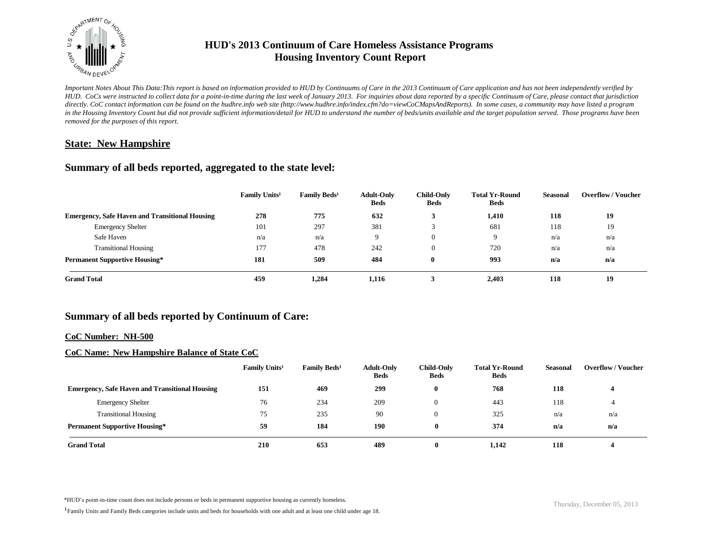

# **HUD's 2013 Continuum of Care Homeless Assistance Programs Housing Inventory Count Report**

*Important Notes About This Data:This report is based on information provided to HUD by Continuums of Care in the 2013 Continuum of Care application and has not been independently verified by HUD. CoCs were instructed to collect data for a point-in-time during the last week of January 2013. For inquiries about data reported by a specific Continuum of Care, please contact that jurisdiction directly. CoC contact information can be found on the hudhre.info web site (http://www.hudhre.info/index.cfm?do=viewCoCMapsAndReports). In some cases, a community may have listed a program*  in the Housing Inventory Count but did not provide sufficient information/detail for HUD to understand the number of beds/units available and the target population served. Those programs have been *removed for the purposes of this report.*

## **State: New Hampshire**

## **Summary of all beds reported, aggregated to the state level:**

|                                                       | Family Units <sup>1</sup> | Family Beds <sup>1</sup> | <b>Adult-Only</b><br><b>Beds</b> | <b>Child-Only</b><br><b>Beds</b> | <b>Total Yr-Round</b><br><b>Beds</b> | Seasonal | <b>Overflow/Voucher</b> |
|-------------------------------------------------------|---------------------------|--------------------------|----------------------------------|----------------------------------|--------------------------------------|----------|-------------------------|
| <b>Emergency, Safe Haven and Transitional Housing</b> | 278                       | 775                      | 632                              | 3                                | 1,410                                | 118      | 19                      |
| <b>Emergency Shelter</b>                              | 101                       | 297                      | 381                              |                                  | 681                                  | 118      | 19                      |
| Safe Haven                                            | n/a                       | n/a                      | 9                                | 0                                | 9                                    | n/a      | n/a                     |
| <b>Transitional Housing</b>                           | 177                       | 478                      | 242                              | 0                                | 720                                  | n/a      | n/a                     |
| <b>Permanent Supportive Housing*</b>                  | 181                       | 509                      | 484                              | $\bf{0}$                         | 993                                  | n/a      | n/a                     |
| <b>Grand Total</b>                                    | 459                       | 1,284                    | 1,116                            |                                  | 2,403                                | 118      | 19                      |

# **Summary of all beds reported by Continuum of Care:**

#### **CoC Number: NH-500**

### **CoC Name: New Hampshire Balance of State CoC**

|                                                       | Family Units <sup>1</sup> | <b>Family Beds<sup>1</sup></b> | <b>Adult-Only</b><br><b>Beds</b> | <b>Child-Only</b><br><b>Beds</b> | <b>Total Yr-Round</b><br><b>Beds</b> | Seasonal | <b>Overflow/Voucher</b> |
|-------------------------------------------------------|---------------------------|--------------------------------|----------------------------------|----------------------------------|--------------------------------------|----------|-------------------------|
| <b>Emergency, Safe Haven and Transitional Housing</b> | 151                       | 469                            | 299                              |                                  | 768                                  | 118      |                         |
| <b>Emergency Shelter</b>                              | 76                        | 234                            | 209                              |                                  | 443                                  | 118      | $\rightarrow$           |
| <b>Transitional Housing</b>                           | 75                        | 235                            | 90                               |                                  | 325                                  | n/a      | n/a                     |
| <b>Permanent Supportive Housing*</b>                  | 59                        | 184                            | 190                              | $\mathbf{0}$                     | 374                                  | n/a      | n/a                     |
| <b>Grand Total</b>                                    | 210                       | 653                            | 489                              | $\mathbf{0}$                     | 1,142                                | 118      |                         |

\*HUD's point-in-time count does not include persons or beds in permanent supportive housing as currently homeless.<br>
Thursday, December 05, 2013